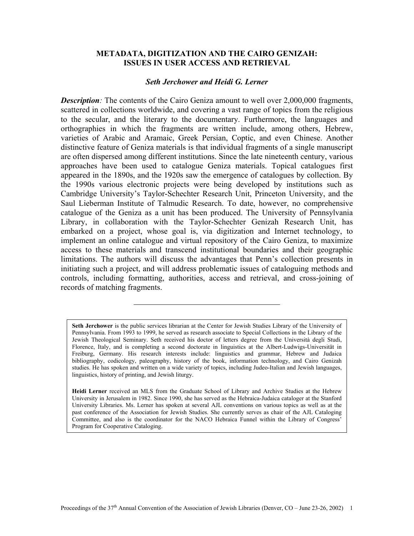#### **METADATA, DIGITIZATION AND THE CAIRO GENIZAH: ISSUES IN USER ACCESS AND RETRIEVAL**

## *Seth Jerchower and Heidi G. Lerner*

*Description:* The contents of the Cairo Geniza amount to well over 2,000,000 fragments, scattered in collections worldwide, and covering a vast range of topics from the religious to the secular, and the literary to the documentary. Furthermore, the languages and orthographies in which the fragments are written include, among others, Hebrew, varieties of Arabic and Aramaic, Greek Persian, Coptic, and even Chinese. Another distinctive feature of Geniza materials is that individual fragments of a single manuscript are often dispersed among different institutions. Since the late nineteenth century, various approaches have been used to catalogue Geniza materials. Topical catalogues first appeared in the 1890s, and the 1920s saw the emergence of catalogues by collection. By the 1990s various electronic projects were being developed by institutions such as Cambridge University's Taylor-Schechter Research Unit, Princeton University, and the Saul Lieberman Institute of Talmudic Research. To date, however, no comprehensive catalogue of the Geniza as a unit has been produced. The University of Pennsylvania Library, in collaboration with the Taylor-Schechter Genizah Research Unit, has embarked on a project, whose goal is, via digitization and Internet technology, to implement an online catalogue and virtual repository of the Cairo Geniza, to maximize access to these materials and transcend institutional boundaries and their geographic limitations. The authors will discuss the advantages that Penn's collection presents in initiating such a project, and will address problematic issues of cataloguing methods and controls, including formatting, authorities, access and retrieval, and cross-joining of records of matching fragments.

**Heidi Lerner** received an MLS from the Graduate School of Library and Archive Studies at the Hebrew University in Jerusalem in 1982. Since 1990, she has served as the Hebraica-Judaica cataloger at the Stanford University Libraries. Ms. Lerner has spoken at several AJL conventions on various topics as well as at the past conference of the Association for Jewish Studies. She currently serves as chair of the AJL Cataloging Committee, and also is the coordinator for the NACO Hebraica Funnel within the Library of Congress' Program for Cooperative Cataloging.

**Seth Jerchower** is the public services librarian at the Center for Jewish Studies Library of the University of Pennsylvania. From 1993 to 1999, he served as research associate to Special Collections in the Library of the Jewish Theological Seminary. Seth received his doctor of letters degree from the Università degli Studi, Florence, Italy, and is completing a second doctorate in linguistics at the Albert-Ludwigs-Universität in Freiburg, Germany. His research interests include: linguistics and grammar, Hebrew and Judaica bibliography, codicology, paleography, history of the book, information technology, and Cairo Genizah studies. He has spoken and written on a wide variety of topics, including Judeo-Italian and Jewish languages, linguistics, history of printing, and Jewish liturgy.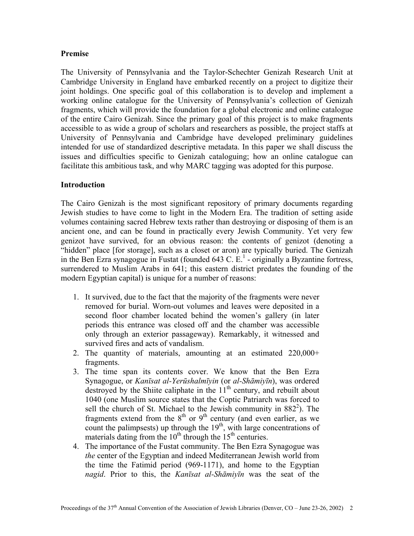## **Premise**

The University of Pennsylvania and the Taylor-Schechter Genizah Research Unit at Cambridge University in England have embarked recently on a project to digitize their joint holdings. One specific goal of this collaboration is to develop and implement a working online catalogue for the University of Pennsylvania's collection of Genizah fragments, which will provide the foundation for a global electronic and online catalogue of the entire Cairo Genizah. Since the primary goal of this project is to make fragments accessible to as wide a group of scholars and researchers as possible, the project staffs at University of Pennsylvania and Cambridge have developed preliminary guidelines intended for use of standardized descriptive metadata. In this paper we shall discuss the issues and difficulties specific to Genizah cataloguing; how an online catalogue can facilitate this ambitious task, and why MARC tagging was adopted for this purpose.

## **Introduction**

The Cairo Genizah is the most significant repository of primary documents regarding Jewish studies to have come to light in the Modern Era. The tradition of setting aside volumes containing sacred Hebrew texts rather than destroying or disposing of them is an ancient one, and can be found in practically every Jewish Community. Yet very few genizot have survived, for an obvious reason: the contents of genizot (denoting a "hidden" place [for storage], such as a closet or aron) are typically buried. The Genizah in the Ben Ezra synagogue in Fustat (founded 643 C.  $E<sup>1</sup>$  - originally a Byzantine fortress, surrendered to Muslim Arabs in 641; this eastern district predates the founding of the modern Egyptian capital) is unique for a number of reasons:

- 1. It survived, due to the fact that the majority of the fragments were never removed for burial. Worn-out volumes and leaves were deposited in a second floor chamber located behind the women's gallery (in later periods this entrance was closed off and the chamber was accessible only through an exterior passageway). Remarkably, it witnessed and survived fires and acts of vandalism.
- 2. The quantity of materials, amounting at an estimated 220,000+ fragments.
- 3. The time span its contents cover. We know that the Ben Ezra Synagogue, or *Kanīsat al-Yerūshalmīyin* (or *al-Shāmiyīn*), was ordered destroyed by the Shiite caliphate in the  $11<sup>th</sup>$  century, and rebuilt about 1040 (one Muslim source states that the Coptic Patriarch was forced to sell the church of St. Michael to the Jewish community in  $882^2$  $882^2$  $882^2$ ). The fragments extend from the  $8<sup>th</sup>$  or  $9<sup>th</sup>$  century (and even earlier, as we count the palimpsests) up through the  $19<sup>th</sup>$ , with large concentrations of materials dating from the  $10<sup>th</sup>$  through the  $15<sup>th</sup>$  centuries.
- 4. The importance of the Fustat community. The Ben Ezra Synagogue was *the* center of the Egyptian and indeed Mediterranean Jewish world from the time the Fatimid period (969-1171), and home to the Egyptian *nagid*. Prior to this, the *Kanīsat al-Shāmiyīn* was the seat of the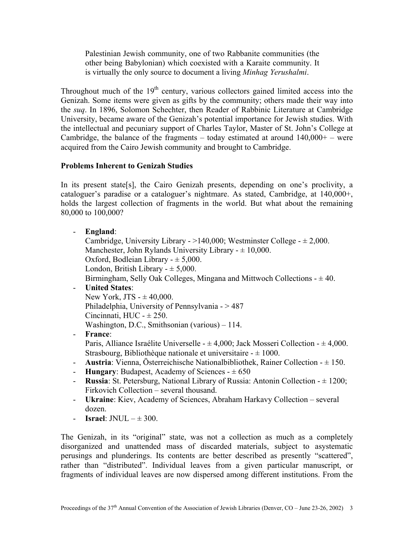Palestinian Jewish community, one of two Rabbanite communities (the other being Babylonian) which coexisted with a Karaite community. It is virtually the only source to document a living *Minhag Yerushalmi*.

Throughout much of the  $19<sup>th</sup>$  century, various collectors gained limited access into the Genizah. Some items were given as gifts by the community; others made their way into the *suq*. In 1896, Solomon Schechter, then Reader of Rabbinic Literature at Cambridge University, became aware of the Genizah's potential importance for Jewish studies. With the intellectual and pecuniary support of Charles Taylor, Master of St. John's College at Cambridge, the balance of the fragments – today estimated at around  $140,000+$  – were acquired from the Cairo Jewish community and brought to Cambridge.

## **Problems Inherent to Genizah Studies**

In its present state[s], the Cairo Genizah presents, depending on one's proclivity, a cataloguer's paradise or a cataloguer's nightmare. As stated, Cambridge, at 140,000+, holds the largest collection of fragments in the world. But what about the remaining 80,000 to 100,000?

- **England**:

Cambridge, University Library -  $>140,000$ ; Westminster College -  $\pm 2,000$ . Manchester, John Rylands University Library  $- \pm 10,000$ . Oxford, Bodleian Library  $- \pm 5,000$ . London, British Library  $- \pm 5,000$ . Birmingham, Selly Oak Colleges, Mingana and Mittwoch Collections  $- \pm 40$ . - **United States**: New York, JTS  $- \pm 40,000$ . Philadelphia, University of Pennsylvania - > 487 Cincinnati,  $HUC - \pm 250$ . Washington, D.C., Smithsonian (various) – 114. - **France**:

Paris, Alliance Israélite Universelle -  $\pm 4,000$ ; Jack Mosseri Collection -  $\pm 4,000$ . Strasbourg, Bibliothèque nationale et universitaire  $-\pm 1000$ .

- **Austria**: Vienna, Österreichische Nationalbibliothek, Rainer Collection ± 150.
- **Hungary**: Budapest, Academy of Sciences  $\pm 650$
- **Russia**: St. Petersburg, National Library of Russia: Antonin Collection ± 1200; Firkovich Collection – several thousand.
- **Ukraine**: Kiev, Academy of Sciences, Abraham Harkavy Collection several dozen.
- $\blacksquare$  **Israel**: **INUL**  $-\pm 300$ .

The Genizah, in its "original" state, was not a collection as much as a completely disorganized and unattended mass of discarded materials, subject to asystematic perusings and plunderings. Its contents are better described as presently "scattered", rather than "distributed". Individual leaves from a given particular manuscript, or fragments of individual leaves are now dispersed among different institutions. From the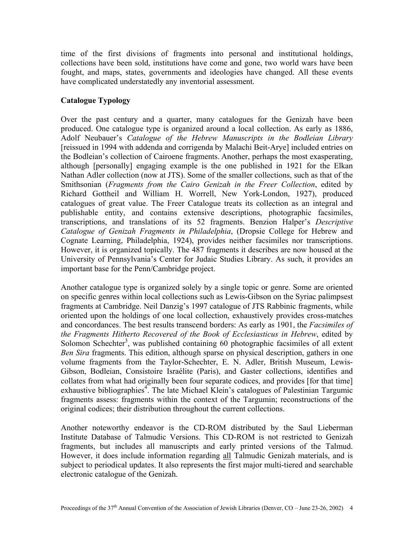time of the first divisions of fragments into personal and institutional holdings, collections have been sold, institutions have come and gone, two world wars have been fought, and maps, states, governments and ideologies have changed. All these events have complicated understatedly any inventorial assessment.

## **Catalogue Typology**

Over the past century and a quarter, many catalogues for the Genizah have been produced. One catalogue type is organized around a local collection. As early as 1886, Adolf Neubauer's *Catalogue of the Hebrew Manuscripts in the Bodleian Library*  [reissued in 1994 with addenda and corrigenda by Malachi Beit-Arye] included entries on the Bodleian's collection of Cairoene fragments. Another, perhaps the most exasperating, although [personally] engaging example is the one published in 1921 for the Elkan Nathan Adler collection (now at JTS). Some of the smaller collections, such as that of the Smithsonian (*Fragments from the Cairo Genizah in the Freer Collection*, edited by Richard Gottheil and William H. Worrell, New York-London, 1927), produced catalogues of great value. The Freer Catalogue treats its collection as an integral and publishable entity, and contains extensive descriptions, photographic facsimiles, transcriptions, and translations of its 52 fragments. Benzion Halper's *Descriptive Catalogue of Genizah Fragments in Philadelphia*, (Dropsie College for Hebrew and Cognate Learning, Philadelphia, 1924), provides neither facsimiles nor transcriptions. However, it is organized topically. The 487 fragments it describes are now housed at the University of Pennsylvania's Center for Judaic Studies Library. As such, it provides an important base for the Penn/Cambridge project.

Another catalogue type is organized solely by a single topic or genre. Some are oriented on specific genres within local collections such as Lewis-Gibson on the Syriac palimpsest fragments at Cambridge. Neil Danzig's 1997 catalogue of JTS Rabbinic fragments, while oriented upon the holdings of one local collection, exhaustively provides cross-matches and concordances. The best results transcend borders: As early as 1901, the *Facsimiles of the Fragments Hitherto Recovered of the Book of Ecclesiasticus in Hebrew*, edited by Solomon Schechter<sup>[3](#page-10-2)</sup>, was published containing  $60$  photographic facsimiles of all extent *Ben Sira* fragments. This edition, although sparse on physical description, gathers in one volume fragments from the Taylor-Schechter, E. N. Adler, British Museum, Lewis-Gibson, Bodleian, Consistoire Israélite (Paris), and Gaster collections, identifies and collates from what had originally been four separate codices, and provides [for that time] exhaustive bibliographies<sup>[4](#page-10-3)</sup>. The late Michael Klein's catalogues of Palestinian Targumic fragments assess: fragments within the context of the Targumin; reconstructions of the original codices; their distribution throughout the current collections.

Another noteworthy endeavor is the CD-ROM distributed by the Saul Lieberman Institute Database of Talmudic Versions. This CD-ROM is not restricted to Genizah fragments, but includes all manuscripts and early printed versions of the Talmud. However, it does include information regarding all Talmudic Genizah materials, and is subject to periodical updates. It also represents the first major multi-tiered and searchable electronic catalogue of the Genizah.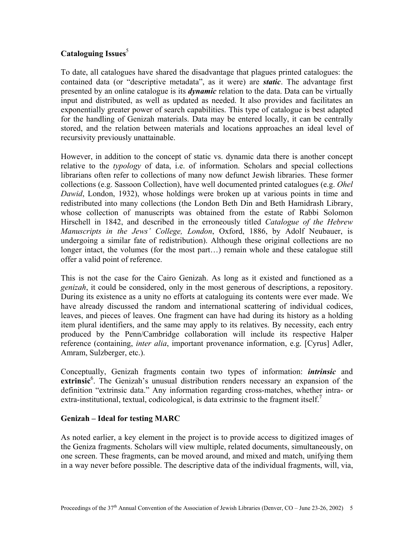# **Cataloguing Issues**<sup>[5](#page-10-4)</sup>

To date, all catalogues have shared the disadvantage that plagues printed catalogues: the contained data (or "descriptive metadata", as it were) are *static*. The advantage first presented by an online catalogue is its *dynamic* relation to the data. Data can be virtually input and distributed, as well as updated as needed. It also provides and facilitates an exponentially greater power of search capabilities. This type of catalogue is best adapted for the handling of Genizah materials. Data may be entered locally, it can be centrally stored, and the relation between materials and locations approaches an ideal level of recursivity previously unattainable.

However, in addition to the concept of static vs. dynamic data there is another concept relative to the *typology* of data, i.e. of information. Scholars and special collections librarians often refer to collections of many now defunct Jewish libraries. These former collections (e.g. Sassoon Collection), have well documented printed catalogues (e.g. *Ohel Dawid*, London, 1932), whose holdings were broken up at various points in time and redistributed into many collections (the London Beth Din and Beth Hamidrash Library, whose collection of manuscripts was obtained from the estate of Rabbi Solomon Hirschell in 1842, and described in the erroneously titled *Catalogue of the Hebrew Manuscripts in the Jews' College, London*, Oxford, 1886, by Adolf Neubauer, is undergoing a similar fate of redistribution). Although these original collections are no longer intact, the volumes (for the most part…) remain whole and these catalogue still offer a valid point of reference.

This is not the case for the Cairo Genizah. As long as it existed and functioned as a *genizah*, it could be considered, only in the most generous of descriptions, a repository. During its existence as a unity no efforts at cataloguing its contents were ever made. We have already discussed the random and international scattering of individual codices, leaves, and pieces of leaves. One fragment can have had during its history as a holding item plural identifiers, and the same may apply to its relatives. By necessity, each entry produced by the Penn/Cambridge collaboration will include its respective Halper reference (containing, *inter alia*, important provenance information, e.g. [Cyrus] Adler, Amram, Sulzberger, etc.).

Conceptually, Genizah fragments contain two types of information: *intrinsic* and extrinsic<sup>[6](#page-10-5)</sup>. The Genizah's unusual distribution renders necessary an expansion of the definition "extrinsic data." Any information regarding cross-matches, whether intra- or extra-institutional, textual, codicological, is data extrinsic to the fragment itself.<sup>[7](#page-10-6)</sup>

## **Genizah – Ideal for testing MARC**

As noted earlier, a key element in the project is to provide access to digitized images of the Geniza fragments. Scholars will view multiple, related documents, simultaneously, on one screen. These fragments, can be moved around, and mixed and match, unifying them in a way never before possible. The descriptive data of the individual fragments, will, via,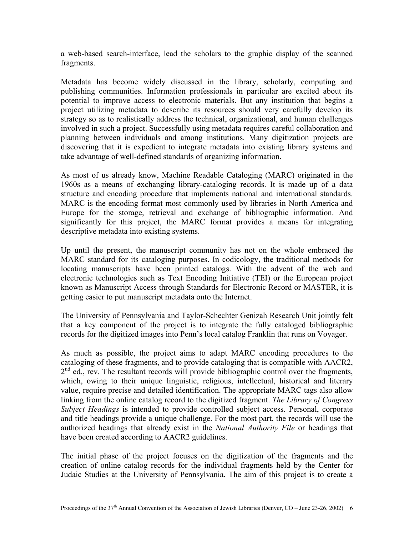a web-based search-interface, lead the scholars to the graphic display of the scanned fragments.

Metadata has become widely discussed in the library, scholarly, computing and publishing communities. Information professionals in particular are excited about its potential to improve access to electronic materials. But any institution that begins a project utilizing metadata to describe its resources should very carefully develop its strategy so as to realistically address the technical, organizational, and human challenges involved in such a project. Successfully using metadata requires careful collaboration and planning between individuals and among institutions. Many digitization projects are discovering that it is expedient to integrate metadata into existing library systems and take advantage of well-defined standards of organizing information.

As most of us already know, Machine Readable Cataloging (MARC) originated in the 1960s as a means of exchanging library-cataloging records. It is made up of a data structure and encoding procedure that implements national and international standards. MARC is the encoding format most commonly used by libraries in North America and Europe for the storage, retrieval and exchange of bibliographic information. And significantly for this project, the MARC format provides a means for integrating descriptive metadata into existing systems.

Up until the present, the manuscript community has not on the whole embraced the MARC standard for its cataloging purposes. In codicology, the traditional methods for locating manuscripts have been printed catalogs. With the advent of the web and electronic technologies such as Text Encoding Initiative (TEI) or the European project known as Manuscript Access through Standards for Electronic Record or MASTER, it is getting easier to put manuscript metadata onto the Internet.

The University of Pennsylvania and Taylor-Schechter Genizah Research Unit jointly felt that a key component of the project is to integrate the fully cataloged bibliographic records for the digitized images into Penn's local catalog Franklin that runs on Voyager.

As much as possible, the project aims to adapt MARC encoding procedures to the cataloging of these fragments, and to provide cataloging that is compatible with AACR2,  $2<sup>nd</sup>$  ed., rev. The resultant records will provide bibliographic control over the fragments, which, owing to their unique linguistic, religious, intellectual, historical and literary value, require precise and detailed identification. The appropriate MARC tags also allow linking from the online catalog record to the digitized fragment. *The Library of Congress Subject Headings* is intended to provide controlled subject access. Personal, corporate and title headings provide a unique challenge. For the most part, the records will use the authorized headings that already exist in the *National Authority File* or headings that have been created according to AACR2 guidelines.

The initial phase of the project focuses on the digitization of the fragments and the creation of online catalog records for the individual fragments held by the Center for Judaic Studies at the University of Pennsylvania. The aim of this project is to create a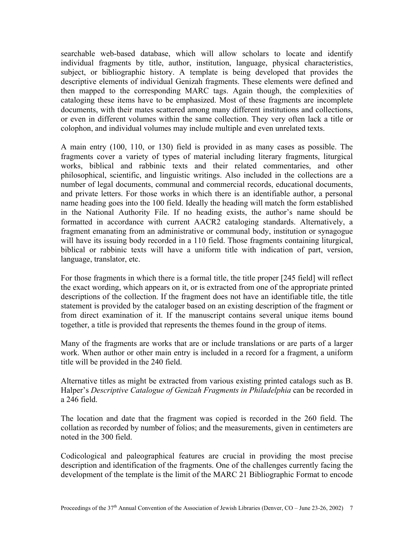searchable web-based database, which will allow scholars to locate and identify individual fragments by title, author, institution, language, physical characteristics, subject, or bibliographic history. A template is being developed that provides the descriptive elements of individual Genizah fragments. These elements were defined and then mapped to the corresponding MARC tags. Again though, the complexities of cataloging these items have to be emphasized. Most of these fragments are incomplete documents, with their mates scattered among many different institutions and collections, or even in different volumes within the same collection. They very often lack a title or colophon, and individual volumes may include multiple and even unrelated texts.

A main entry (100, 110, or 130) field is provided in as many cases as possible. The fragments cover a variety of types of material including literary fragments, liturgical works, biblical and rabbinic texts and their related commentaries, and other philosophical, scientific, and linguistic writings. Also included in the collections are a number of legal documents, communal and commercial records, educational documents, and private letters. For those works in which there is an identifiable author, a personal name heading goes into the 100 field. Ideally the heading will match the form established in the National Authority File. If no heading exists, the author's name should be formatted in accordance with current AACR2 cataloging standards. Alternatively, a fragment emanating from an administrative or communal body, institution or synagogue will have its issuing body recorded in a 110 field. Those fragments containing liturgical, biblical or rabbinic texts will have a uniform title with indication of part, version, language, translator, etc.

For those fragments in which there is a formal title, the title proper [245 field] will reflect the exact wording, which appears on it, or is extracted from one of the appropriate printed descriptions of the collection. If the fragment does not have an identifiable title, the title statement is provided by the cataloger based on an existing description of the fragment or from direct examination of it. If the manuscript contains several unique items bound together, a title is provided that represents the themes found in the group of items.

Many of the fragments are works that are or include translations or are parts of a larger work. When author or other main entry is included in a record for a fragment, a uniform title will be provided in the 240 field.

Alternative titles as might be extracted from various existing printed catalogs such as B. Halper's *Descriptive Catalogue of Genizah Fragments in Philadelphia* can be recorded in a 246 field.

The location and date that the fragment was copied is recorded in the 260 field. The collation as recorded by number of folios; and the measurements, given in centimeters are noted in the 300 field.

Codicological and paleographical features are crucial in providing the most precise description and identification of the fragments. One of the challenges currently facing the development of the template is the limit of the MARC 21 Bibliographic Format to encode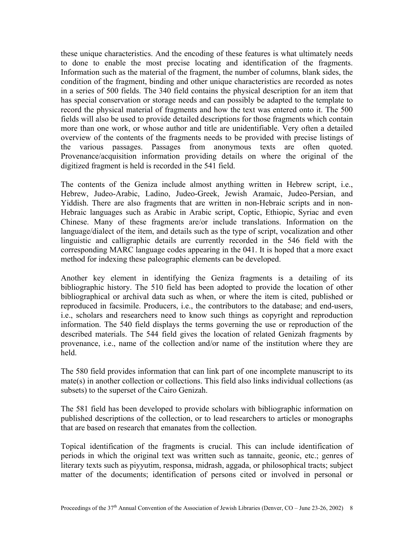these unique characteristics. And the encoding of these features is what ultimately needs to done to enable the most precise locating and identification of the fragments. Information such as the material of the fragment, the number of columns, blank sides, the condition of the fragment, binding and other unique characteristics are recorded as notes in a series of 500 fields. The 340 field contains the physical description for an item that has special conservation or storage needs and can possibly be adapted to the template to record the physical material of fragments and how the text was entered onto it. The 500 fields will also be used to provide detailed descriptions for those fragments which contain more than one work, or whose author and title are unidentifiable. Very often a detailed overview of the contents of the fragments needs to be provided with precise listings of the various passages. Passages from anonymous texts are often quoted. Provenance/acquisition information providing details on where the original of the digitized fragment is held is recorded in the 541 field.

The contents of the Geniza include almost anything written in Hebrew script, i.e., Hebrew, Judeo-Arabic, Ladino, Judeo-Greek, Jewish Aramaic, Judeo-Persian, and Yiddish. There are also fragments that are written in non-Hebraic scripts and in non-Hebraic languages such as Arabic in Arabic script, Coptic, Ethiopic, Syriac and even Chinese. Many of these fragments are/or include translations. Information on the language/dialect of the item, and details such as the type of script, vocalization and other linguistic and calligraphic details are currently recorded in the 546 field with the corresponding MARC language codes appearing in the 041. It is hoped that a more exact method for indexing these paleographic elements can be developed.

Another key element in identifying the Geniza fragments is a detailing of its bibliographic history. The 510 field has been adopted to provide the location of other bibliographical or archival data such as when, or where the item is cited, published or reproduced in facsimile. Producers, i.e., the contributors to the database; and end-users, i.e., scholars and researchers need to know such things as copyright and reproduction information. The 540 field displays the terms governing the use or reproduction of the described materials. The 544 field gives the location of related Genizah fragments by provenance, i.e., name of the collection and/or name of the institution where they are held.

The 580 field provides information that can link part of one incomplete manuscript to its mate(s) in another collection or collections. This field also links individual collections (as subsets) to the superset of the Cairo Genizah.

The 581 field has been developed to provide scholars with bibliographic information on published descriptions of the collection, or to lead researchers to articles or monographs that are based on research that emanates from the collection.

Topical identification of the fragments is crucial. This can include identification of periods in which the original text was written such as tannaitc, geonic, etc.; genres of literary texts such as piyyutim, responsa, midrash, aggada, or philosophical tracts; subject matter of the documents; identification of persons cited or involved in personal or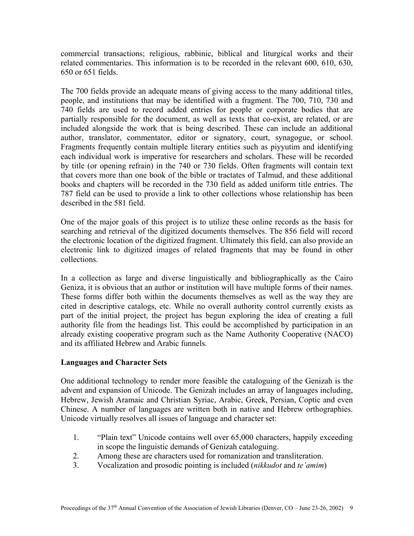commercial transactions; religious, rabbinic, biblical and liturgical works and their related commentaries. This information is to be recorded in the relevant 600, 610, 630, 650 or 651 fields.

The 700 fields provide an adequate means of giving access to the many additional titles, people, and institutions that may be identified with a fragment. The 700, 710, 730 and 740 fields are used to record added entries for people or corporate bodies that are partially responsible for the document, as well as texts that co-exist, are related, or are included alongside the work that is being described. These can include an additional author, translator, commentator, editor or signatory, court, synagogue, or school. Fragments frequently contain multiple literary entities such as piyyutim and identifying each individual work is imperative for researchers and scholars. These will be recorded by title (or opening refrain) in the 740 or 730 fields. Often fragments will contain text that covers more than one book of the bible or tractates of Talmud, and these additional books and chapters will be recorded in the 730 field as added uniform title entries. The 787 field can be used to provide a link to other collections whose relationship has been described in the 581 field.

One of the major goals of this project is to utilize these online records as the basis for searching and retrieval of the digitized documents themselves. The 856 field will record the electronic location of the digitized fragment. Ultimately this field, can also provide an electronic link to digitized images of related fragments that may be found in other collections.

In a collection as large and diverse linguistically and bibliographically as the Cairo Geniza, it is obvious that an author or institution will have multiple forms of their names. These forms differ both within the documents themselves as well as the way they are cited in descriptive catalogs, etc. While no overall authority control currently exists as part of the initial project, the project has begun exploring the idea of creating a full authority file from the headings list. This could be accomplished by participation in an already existing cooperative program such as the Name Authority Cooperative (NACO) and its affiliated Hebrew and Arabic funnels.

## **Languages and Character Sets**

One additional technology to render more feasible the cataloguing of the Genizah is the advent and expansion of Unicode. The Genizah includes an array of languages including, Hebrew, Jewish Aramaic and Christian Syriac, Arabic, Greek, Persian, Coptic and even Chinese. A number of languages are written both in native and Hebrew orthographies. Unicode virtually resolves all issues of language and character set:

- 1. "Plain text" Unicode contains well over 65,000 characters, happily exceeding in scope the linguistic demands of Genizah cataloguing.
- 2. Among these are characters used for romanization and transliteration.
- 3. Vocalization and prosodic pointing is included (*nikkudot* and *te'amim*)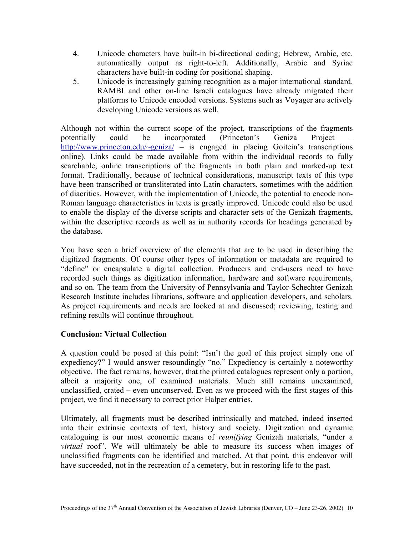- 4. Unicode characters have built-in bi-directional coding; Hebrew, Arabic, etc. automatically output as right-to-left. Additionally, Arabic and Syriac characters have built-in coding for positional shaping.
- 5. Unicode is increasingly gaining recognition as a major international standard. RAMBI and other on-line Israeli catalogues have already migrated their platforms to Unicode encoded versions. Systems such as Voyager are actively developing Unicode versions as well.

Although not within the current scope of the project, transcriptions of the fragments potentially could be incorporated (Princeton's Geniza Project – <http://www.princeton.edu/~geniza/>– is engaged in placing Goitein's transcriptions online). Links could be made available from within the individual records to fully searchable, online transcriptions of the fragments in both plain and marked-up text format. Traditionally, because of technical considerations, manuscript texts of this type have been transcribed or transliterated into Latin characters, sometimes with the addition of diacritics. However, with the implementation of Unicode, the potential to encode non-Roman language characteristics in texts is greatly improved. Unicode could also be used to enable the display of the diverse scripts and character sets of the Genizah fragments, within the descriptive records as well as in authority records for headings generated by the database.

You have seen a brief overview of the elements that are to be used in describing the digitized fragments. Of course other types of information or metadata are required to "define" or encapsulate a digital collection. Producers and end-users need to have recorded such things as digitization information, hardware and software requirements, and so on. The team from the University of Pennsylvania and Taylor-Schechter Genizah Research Institute includes librarians, software and application developers, and scholars. As project requirements and needs are looked at and discussed; reviewing, testing and refining results will continue throughout.

## **Conclusion: Virtual Collection**

A question could be posed at this point: "Isn't the goal of this project simply one of expediency?" I would answer resoundingly "no." Expediency is certainly a noteworthy objective. The fact remains, however, that the printed catalogues represent only a portion, albeit a majority one, of examined materials. Much still remains unexamined, unclassified, crated – even unconserved. Even as we proceed with the first stages of this project, we find it necessary to correct prior Halper entries.

Ultimately, all fragments must be described intrinsically and matched, indeed inserted into their extrinsic contexts of text, history and society. Digitization and dynamic cataloguing is our most economic means of *reunifying* Genizah materials, "under a *virtual* roof". We will ultimately be able to measure its success when images of unclassified fragments can be identified and matched. At that point, this endeavor will have succeeded, not in the recreation of a cemetery, but in restoring life to the past.